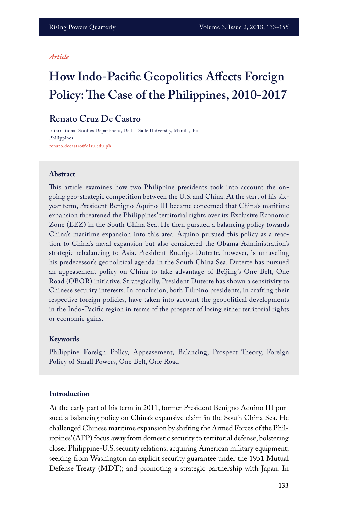#### *Article*

# **How Indo-Pacific Geopolitics Affects Foreign Policy: The Case of the Philippines, 2010-2017**

# **Renato Cruz De Castro**

International Studies Department, De La Salle University, Manila, the Philippines **renato.decastro@dlsu.edu.ph**

#### **Abstract**

This article examines how two Philippine presidents took into account the ongoing geo-strategic competition between the U.S. and China. At the start of his sixyear term, President Benigno Aquino III became concerned that China's maritime expansion threatened the Philippines' territorial rights over its Exclusive Economic Zone (EEZ) in the South China Sea. He then pursued a balancing policy towards China's maritime expansion into this area. Aquino pursued this policy as a reaction to China's naval expansion but also considered the Obama Administration's strategic rebalancing to Asia. President Rodrigo Duterte, however, is unraveling his predecessor's geopolitical agenda in the South China Sea. Duterte has pursued an appeasement policy on China to take advantage of Beijing's One Belt, One Road (OBOR) initiative. Strategically, President Duterte has shown a sensitivity to Chinese security interests. In conclusion, both Filipino presidents, in crafting their respective foreign policies, have taken into account the geopolitical developments in the Indo-Pacific region in terms of the prospect of losing either territorial rights or economic gains.

#### **Keywords**

Philippine Foreign Policy, Appeasement, Balancing, Prospect Theory, Foreign Policy of Small Powers, One Belt, One Road

#### **Introduction**

At the early part of his term in 2011, former President Benigno Aquino III pursued a balancing policy on China's expansive claim in the South China Sea. He challenged Chinese maritime expansion by shifting the Armed Forces of the Philippines' (AFP) focus away from domestic security to territorial defense, bolstering closer Philippine-U.S. security relations; acquiring American military equipment; seeking from Washington an explicit security guarantee under the 1951 Mutual Defense Treaty (MDT); and promoting a strategic partnership with Japan. In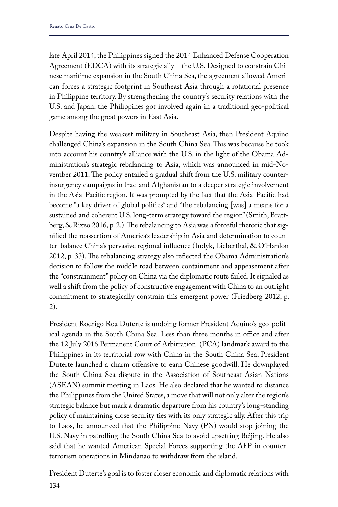late April 2014, the Philippines signed the 2014 Enhanced Defense Cooperation Agreement (EDCA) with its strategic ally – the U.S. Designed to constrain Chinese maritime expansion in the South China Sea, the agreement allowed American forces a strategic footprint in Southeast Asia through a rotational presence in Philippine territory. By strengthening the country's security relations with the U.S. and Japan, the Philippines got involved again in a traditional geo-political game among the great powers in East Asia.

Despite having the weakest military in Southeast Asia, then President Aquino challenged China's expansion in the South China Sea. This was because he took into account his country's alliance with the U.S. in the light of the Obama Administration's strategic rebalancing to Asia, which was announced in mid-November 2011. The policy entailed a gradual shift from the U.S. military counterinsurgency campaigns in Iraq and Afghanistan to a deeper strategic involvement in the Asia-Pacific region. It was prompted by the fact that the Asia-Pacific had become "a key driver of global politics" and "the rebalancing [was] a means for a sustained and coherent U.S. long-term strategy toward the region" (Smith, Brattberg, & Rizzo 2016, p. 2.). The rebalancing to Asia was a forceful rhetoric that signified the reassertion of America's leadership in Asia and determination to counter-balance China's pervasive regional influence (Indyk, Lieberthal, & O'Hanlon 2012, p. 33). The rebalancing strategy also reflected the Obama Administration's decision to follow the middle road between containment and appeasement after the "constrainment" policy on China via the diplomatic route failed. It signaled as well a shift from the policy of constructive engagement with China to an outright commitment to strategically constrain this emergent power (Friedberg 2012, p. 2).

President Rodrigo Roa Duterte is undoing former President Aquino's geo-political agenda in the South China Sea. Less than three months in office and after the 12 July 2016 Permanent Court of Arbitration (PCA) landmark award to the Philippines in its territorial row with China in the South China Sea, President Duterte launched a charm offensive to earn Chinese goodwill. He downplayed the South China Sea dispute in the Association of Southeast Asian Nations (ASEAN) summit meeting in Laos. He also declared that he wanted to distance the Philippines from the United States, a move that will not only alter the region's strategic balance but mark a dramatic departure from his country's long-standing policy of maintaining close security ties with its only strategic ally. After this trip to Laos, he announced that the Philippine Navy (PN) would stop joining the U.S. Navy in patrolling the South China Sea to avoid upsetting Beijing. He also said that he wanted American Special Forces supporting the AFP in counterterrorism operations in Mindanao to withdraw from the island.

President Duterte's goal is to foster closer economic and diplomatic relations with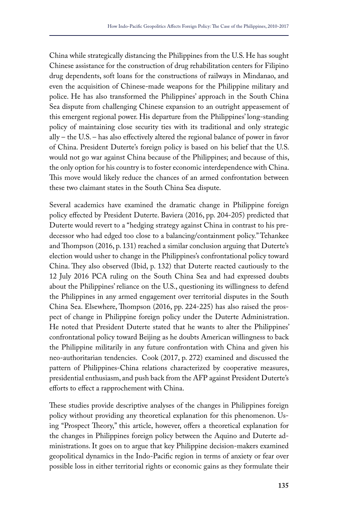China while strategically distancing the Philippines from the U.S. He has sought Chinese assistance for the construction of drug rehabilitation centers for Filipino drug dependents, soft loans for the constructions of railways in Mindanao, and even the acquisition of Chinese-made weapons for the Philippine military and police. He has also transformed the Philippines' approach in the South China Sea dispute from challenging Chinese expansion to an outright appeasement of this emergent regional power. His departure from the Philippines' long-standing policy of maintaining close security ties with its traditional and only strategic ally – the U.S. – has also effectively altered the regional balance of power in favor of China. President Duterte's foreign policy is based on his belief that the U.S. would not go war against China because of the Philippines; and because of this, the only option for his country is to foster economic interdependence with China. This move would likely reduce the chances of an armed confrontation between these two claimant states in the South China Sea dispute.

Several academics have examined the dramatic change in Philippine foreign policy effected by President Duterte. Baviera (2016, pp. 204-205) predicted that Duterte would revert to a "hedging strategy against China in contrast to his predecessor who had edged too close to a balancing/containment policy." Tehankee and Thompson (2016, p. 131) reached a similar conclusion arguing that Duterte's election would usher to change in the Philippines's confrontational policy toward China. They also observed (Ibid, p. 132) that Duterte reacted cautiously to the 12 July 2016 PCA ruling on the South China Sea and had expressed doubts about the Philippines' reliance on the U.S., questioning its willingness to defend the Philippines in any armed engagement over territorial disputes in the South China Sea. Elsewhere, Thompson (2016, pp. 224-225) has also raised the prospect of change in Philippine foreign policy under the Duterte Administration. He noted that President Duterte stated that he wants to alter the Philippines' confrontational policy toward Beijing as he doubts American willingness to back the Philippine militarily in any future confrontation with China and given his neo-authoritarian tendencies. Cook (2017, p. 272) examined and discussed the pattern of Philippines-China relations characterized by cooperative measures, presidential enthusiasm, and push back from the AFP against President Duterte's efforts to effect a rapprochement with China.

These studies provide descriptive analyses of the changes in Philippines foreign policy without providing any theoretical explanation for this phenomenon. Using "Prospect Theory," this article, however, offers a theoretical explanation for the changes in Philippines foreign policy between the Aquino and Duterte administrations. It goes on to argue that key Philippine decision-makers examined geopolitical dynamics in the Indo-Pacific region in terms of anxiety or fear over possible loss in either territorial rights or economic gains as they formulate their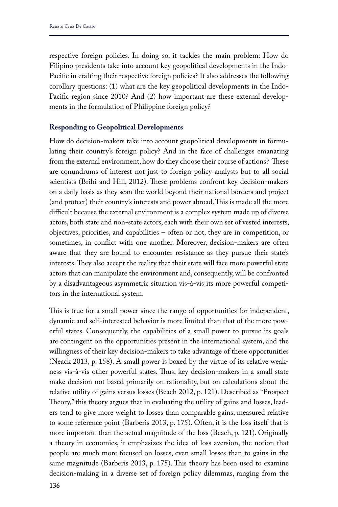respective foreign policies. In doing so, it tackles the main problem: How do Filipino presidents take into account key geopolitical developments in the Indo-Pacific in crafting their respective foreign policies? It also addresses the following corollary questions: (1) what are the key geopolitical developments in the Indo-Pacific region since 2010? And (2) how important are these external developments in the formulation of Philippine foreign policy?

## **Responding to Geopolitical Developments**

How do decision-makers take into account geopolitical developments in formulating their country's foreign policy? And in the face of challenges emanating from the external environment, how do they choose their course of actions? These are conundrums of interest not just to foreign policy analysts but to all social scientists (Brihi and Hill, 2012). These problems confront key decision-makers on a daily basis as they scan the world beyond their national borders and project (and protect) their country's interests and power abroad. This is made all the more difficult because the external environment is a complex system made up of diverse actors, both state and non-state actors, each with their own set of vested interests, objectives, priorities, and capabilities – often or not, they are in competition, or sometimes, in conflict with one another. Moreover, decision-makers are often aware that they are bound to encounter resistance as they pursue their state's interests. They also accept the reality that their state will face more powerful state actors that can manipulate the environment and, consequently, will be confronted by a disadvantageous asymmetric situation vis-à-vis its more powerful competitors in the international system.

This is true for a small power since the range of opportunities for independent, dynamic and self-interested behavior is more limited than that of the more powerful states. Consequently, the capabilities of a small power to pursue its goals are contingent on the opportunities present in the international system, and the willingness of their key decision-makers to take advantage of these opportunities (Neack 2013, p. 158). A small power is boxed by the virtue of its relative weakness vis-à-vis other powerful states. Thus, key decision-makers in a small state make decision not based primarily on rationality, but on calculations about the relative utility of gains versus losses (Beach 2012, p. 121). Described as "Prospect Theory," this theory argues that in evaluating the utility of gains and losses, leaders tend to give more weight to losses than comparable gains, measured relative to some reference point (Barberis 2013, p. 175). Often, it is the loss itself that is more important than the actual magnitude of the loss (Beach, p. 121). Originally a theory in economics, it emphasizes the idea of loss aversion, the notion that people are much more focused on losses, even small losses than to gains in the same magnitude (Barberis 2013, p. 175). This theory has been used to examine decision-making in a diverse set of foreign policy dilemmas, ranging from the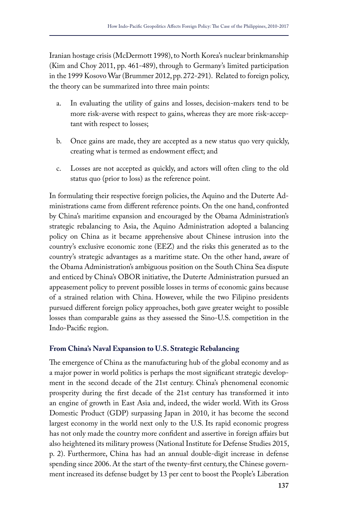Iranian hostage crisis (McDermott 1998), to North Korea's nuclear brinkmanship (Kim and Choy 2011, pp. 461-489), through to Germany's limited participation in the 1999 Kosovo War (Brummer 2012, pp. 272-291). Related to foreign policy, the theory can be summarized into three main points:

- a. In evaluating the utility of gains and losses, decision-makers tend to be more risk-averse with respect to gains, whereas they are more risk-acceptant with respect to losses;
- b. Once gains are made, they are accepted as a new status quo very quickly, creating what is termed as endowment effect; and
- c. Losses are not accepted as quickly, and actors will often cling to the old status quo (prior to loss) as the reference point.

In formulating their respective foreign policies, the Aquino and the Duterte Administrations came from different reference points. On the one hand, confronted by China's maritime expansion and encouraged by the Obama Administration's strategic rebalancing to Asia, the Aquino Administration adopted a balancing policy on China as it became apprehensive about Chinese intrusion into the country's exclusive economic zone (EEZ) and the risks this generated as to the country's strategic advantages as a maritime state. On the other hand, aware of the Obama Administration's ambiguous position on the South China Sea dispute and enticed by China's OBOR initiative, the Duterte Administration pursued an appeasement policy to prevent possible losses in terms of economic gains because of a strained relation with China. However, while the two Filipino presidents pursued different foreign policy approaches, both gave greater weight to possible losses than comparable gains as they assessed the Sino-U.S. competition in the Indo-Pacific region.

# **From China's Naval Expansion to U.S. Strategic Rebalancing**

The emergence of China as the manufacturing hub of the global economy and as a major power in world politics is perhaps the most significant strategic development in the second decade of the 21st century. China's phenomenal economic prosperity during the first decade of the 21st century has transformed it into an engine of growth in East Asia and, indeed, the wider world. With its Gross Domestic Product (GDP) surpassing Japan in 2010, it has become the second largest economy in the world next only to the U.S. Its rapid economic progress has not only made the country more confident and assertive in foreign affairs but also heightened its military prowess (National Institute for Defense Studies 2015, p. 2). Furthermore, China has had an annual double-digit increase in defense spending since 2006. At the start of the twenty-first century, the Chinese government increased its defense budget by 13 per cent to boost the People's Liberation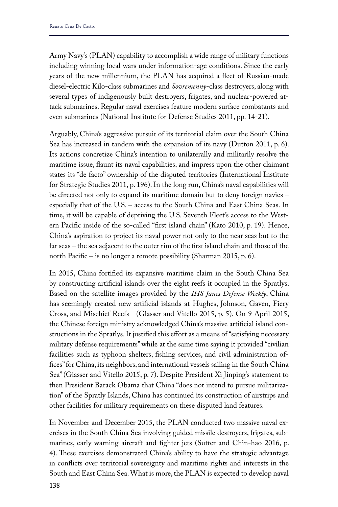Army Navy's (PLAN) capability to accomplish a wide range of military functions including winning local wars under information-age conditions. Since the early years of the new millennium, the PLAN has acquired a fleet of Russian-made diesel-electric Kilo-class submarines and *Sovremenny*-class destroyers, along with several types of indigenously built destroyers, frigates, and nuclear-powered attack submarines. Regular naval exercises feature modern surface combatants and even submarines (National Institute for Defense Studies 2011, pp. 14-21).

Arguably, China's aggressive pursuit of its territorial claim over the South China Sea has increased in tandem with the expansion of its navy (Dutton 2011, p. 6). Its actions concretize China's intention to unilaterally and militarily resolve the maritime issue, flaunt its naval capabilities, and impress upon the other claimant states its "de facto" ownership of the disputed territories (International Institute for Strategic Studies 2011, p. 196). In the long run, China's naval capabilities will be directed not only to expand its maritime domain but to deny foreign navies – especially that of the U.S. – access to the South China and East China Seas. In time, it will be capable of depriving the U.S. Seventh Fleet's access to the Western Pacific inside of the so-called "first island chain" (Kato 2010, p. 19). Hence, China's aspiration to project its naval power not only to the near seas but to the far seas – the sea adjacent to the outer rim of the first island chain and those of the north Pacific – is no longer a remote possibility (Sharman 2015, p. 6).

In 2015, China fortified its expansive maritime claim in the South China Sea by constructing artificial islands over the eight reefs it occupied in the Spratlys. Based on the satellite images provided by the *IHS Janes Defense Weekly*, China has seemingly created new artificial islands at Hughes, Johnson, Gaven, Fiery Cross, and Mischief Reefs (Glasser and Vitello 2015, p. 5). On 9 April 2015, the Chinese foreign ministry acknowledged China's massive artificial island constructions in the Spratlys. It justified this effort as a means of "satisfying necessary military defense requirements" while at the same time saying it provided "civilian facilities such as typhoon shelters, fishing services, and civil administration offices" for China, its neighbors, and international vessels sailing in the South China Sea" (Glasser and Vitello 2015, p. 7). Despite President Xi Jinping's statement to then President Barack Obama that China "does not intend to pursue militarization" of the Spratly Islands, China has continued its construction of airstrips and other facilities for military requirements on these disputed land features.

In November and December 2015, the PLAN conducted two massive naval exercises in the South China Sea involving guided missile destroyers, frigates, submarines, early warning aircraft and fighter jets (Sutter and Chin-hao 2016, p. 4). These exercises demonstrated China's ability to have the strategic advantage in conflicts over territorial sovereignty and maritime rights and interests in the South and East China Sea. What is more, the PLAN is expected to develop naval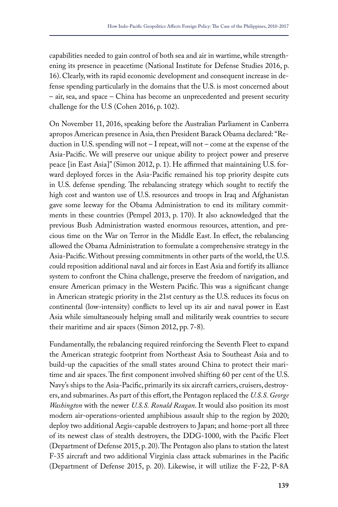capabilities needed to gain control of both sea and air in wartime, while strengthening its presence in peacetime (National Institute for Defense Studies 2016, p. 16). Clearly, with its rapid economic development and consequent increase in defense spending particularly in the domains that the U.S. is most concerned about – air, sea, and space – China has become an unprecedented and present security challenge for the U.S (Cohen 2016, p. 102).

On November 11, 2016, speaking before the Australian Parliament in Canberra apropos American presence in Asia, then President Barack Obama declared: "Reduction in U.S. spending will not – I repeat, will not – come at the expense of the Asia-Pacific. We will preserve our unique ability to project power and preserve peace [in East Asia]" (Simon 2012, p. 1). He affirmed that maintaining U.S. forward deployed forces in the Asia-Pacific remained his top priority despite cuts in U.S. defense spending. The rebalancing strategy which sought to rectify the high cost and wanton use of U.S. resources and troops in Iraq and Afghanistan gave some leeway for the Obama Administration to end its military commitments in these countries (Pempel 2013, p. 170). It also acknowledged that the previous Bush Administration wasted enormous resources, attention, and precious time on the War on Terror in the Middle East. In effect, the rebalancing allowed the Obama Administration to formulate a comprehensive strategy in the Asia-Pacific. Without pressing commitments in other parts of the world, the U.S. could reposition additional naval and air forces in East Asia and fortify its alliance system to confront the China challenge, preserve the freedom of navigation, and ensure American primacy in the Western Pacific. This was a significant change in American strategic priority in the 21st century as the U.S. reduces its focus on continental (low-intensity) conflicts to level up its air and naval power in East Asia while simultaneously helping small and militarily weak countries to secure their maritime and air spaces (Simon 2012, pp. 7-8).

Fundamentally, the rebalancing required reinforcing the Seventh Fleet to expand the American strategic footprint from Northeast Asia to Southeast Asia and to build-up the capacities of the small states around China to protect their maritime and air spaces. The first component involved shifting 60 per cent of the U.S. Navy's ships to the Asia-Pacific, primarily its six aircraft carriers, cruisers, destroyers, and submarines. As part of this effort, the Pentagon replaced the *U.S.S. George Washington* with the newer *U.S.S. Ronald Reagan*. It would also position its most modern air-operations-oriented amphibious assault ship to the region by 2020; deploy two additional Aegis-capable destroyers to Japan; and home-port all three of its newest class of stealth destroyers, the DDG-1000, with the Pacific Fleet (Department of Defense 2015, p. 20). The Pentagon also plans to station the latest F-35 aircraft and two additional Virginia class attack submarines in the Pacific (Department of Defense 2015, p. 20). Likewise, it will utilize the F-22, P-8A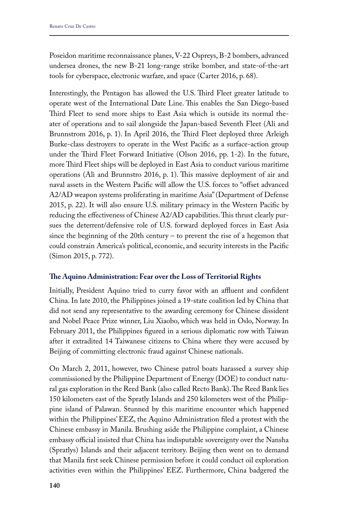Poseidon maritime reconnaissance planes, V-22 Ospreys, B-2 bombers, advanced undersea drones, the new B-21 long-range strike bomber, and state-of-the-art tools for cyberspace, electronic warfare, and space (Carter 2016, p. 68).

Interestingly, the Pentagon has allowed the U.S. Third Fleet greater latitude to operate west of the International Date Line. This enables the San Diego-based Third Fleet to send more ships to East Asia which is outside its normal theater of operations and to sail alongside the Japan-based Seventh Fleet (Ali and Brunnstrom 2016, p. 1). In April 2016, the Third Fleet deployed three Arleigh Burke-class destroyers to operate in the West Pacific as a surface-action group under the Third Fleet Forward Initiative (Olson 2016, pp. 1-2). In the future, more Third Fleet ships will be deployed in East Asia to conduct various maritime operations (Ali and Brunnstro 2016, p. 1). This massive deployment of air and naval assets in the Western Pacific will allow the U.S. forces to "offset advanced A2/AD weapon systems proliferating in maritime Asia" (Department of Defense 2015, p. 22). It will also ensure U.S. military primacy in the Western Pacific by reducing the effectiveness of Chinese A2/AD capabilities. This thrust clearly pursues the deterrent/defensive role of U.S. forward deployed forces in East Asia since the beginning of the 20th century – to prevent the rise of a hegemon that could constrain America's political, economic, and security interests in the Pacific (Simon 2015, p. 772).

# **The Aquino Administration: Fear over the Loss of Territorial Rights**

Initially, President Aquino tried to curry favor with an affluent and confident China. In late 2010, the Philippines joined a 19-state coalition led by China that did not send any representative to the awarding ceremony for Chinese dissident and Nobel Peace Prize winner, Liu Xiaobo, which was held in Oslo, Norway. In February 2011, the Philippines figured in a serious diplomatic row with Taiwan after it extradited 14 Taiwanese citizens to China where they were accused by Beijing of committing electronic fraud against Chinese nationals.

On March 2, 2011, however, two Chinese patrol boats harassed a survey ship commissioned by the Philippine Department of Energy (DOE) to conduct natural gas exploration in the Reed Bank (also called Recto Bank). The Reed Bank lies 150 kilometers east of the Spratly Islands and 250 kilometers west of the Philippine island of Palawan. Stunned by this maritime encounter which happened within the Philippines' EEZ, the Aquino Administration filed a protest with the Chinese embassy in Manila. Brushing aside the Philippine complaint, a Chinese embassy official insisted that China has indisputable sovereignty over the Nansha (Spratlys) Islands and their adjacent territory. Beijing then went on to demand that Manila first seek Chinese permission before it could conduct oil exploration activities even within the Philippines' EEZ. Furthermore, China badgered the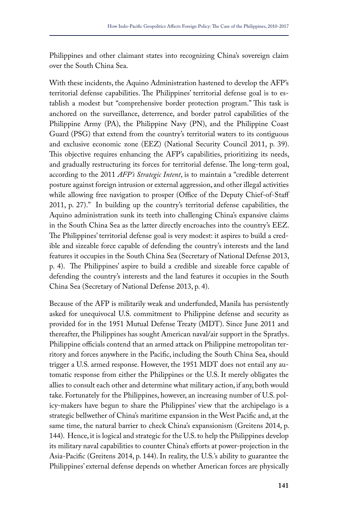Philippines and other claimant states into recognizing China's sovereign claim over the South China Sea.

With these incidents, the Aquino Administration hastened to develop the AFP's territorial defense capabilities. The Philippines' territorial defense goal is to establish a modest but "comprehensive border protection program." This task is anchored on the surveillance, deterrence, and border patrol capabilities of the Philippine Army (PA), the Philippine Navy (PN), and the Philippine Coast Guard (PSG) that extend from the country's territorial waters to its contiguous and exclusive economic zone (EEZ) (National Security Council 2011, p. 39). This objective requires enhancing the AFP's capabilities, prioritizing its needs, and gradually restructuring its forces for territorial defense. The long-term goal, according to the 2011 *AFP's Strategic Intent*, is to maintain a "credible deterrent posture against foreign intrusion or external aggression, and other illegal activities while allowing free navigation to prosper (Office of the Deputy Chief-of-Staff 2011, p. 27)." In building up the country's territorial defense capabilities, the Aquino administration sunk its teeth into challenging China's expansive claims in the South China Sea as the latter directly encroaches into the country's EEZ. The Philippines' territorial defense goal is very modest: it aspires to build a credible and sizeable force capable of defending the country's interests and the land features it occupies in the South China Sea (Secretary of National Defense 2013, p. 4). The Philippines' aspire to build a credible and sizeable force capable of defending the country's interests and the land features it occupies in the South China Sea (Secretary of National Defense 2013, p. 4).

Because of the AFP is militarily weak and underfunded, Manila has persistently asked for unequivocal U.S. commitment to Philippine defense and security as provided for in the 1951 Mutual Defense Treaty (MDT). Since June 2011 and thereafter, the Philippines has sought American naval/air support in the Spratlys. Philippine officials contend that an armed attack on Philippine metropolitan territory and forces anywhere in the Pacific, including the South China Sea, should trigger a U.S. armed response. However, the 1951 MDT does not entail any automatic response from either the Philippines or the U.S. It merely obligates the allies to consult each other and determine what military action, if any, both would take. Fortunately for the Philippines, however, an increasing number of U.S. policy-makers have begun to share the Philippines' view that the archipelago is a strategic bellwether of China's maritime expansion in the West Pacific and, at the same time, the natural barrier to check China's expansionism (Greitens 2014, p. 144). Hence, it is logical and strategic for the U.S. to help the Philippines develop its military naval capabilities to counter China's efforts at power-projection in the Asia-Pacific (Greitens 2014, p. 144). In reality, the U.S.'s ability to guarantee the Philippines' external defense depends on whether American forces are physically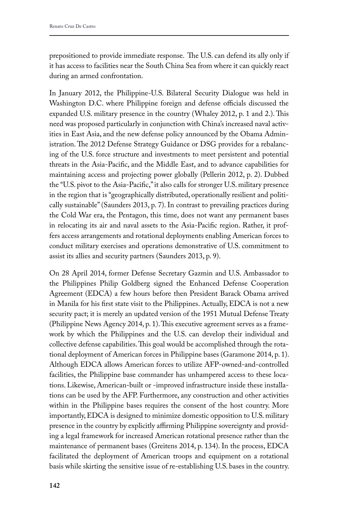prepositioned to provide immediate response. The U.S. can defend its ally only if it has access to facilities near the South China Sea from where it can quickly react during an armed confrontation.

In January 2012, the Philippine-U.S. Bilateral Security Dialogue was held in Washington D.C. where Philippine foreign and defense officials discussed the expanded U.S. military presence in the country (Whaley 2012, p. 1 and 2.). This need was proposed particularly in conjunction with China's increased naval activities in East Asia, and the new defense policy announced by the Obama Administration. The 2012 Defense Strategy Guidance or DSG provides for a rebalancing of the U.S. force structure and investments to meet persistent and potential threats in the Asia-Pacific, and the Middle East, and to advance capabilities for maintaining access and projecting power globally (Pellerin 2012, p. 2). Dubbed the "U.S. pivot to the Asia-Pacific," it also calls for stronger U.S. military presence in the region that is "geographically distributed, operationally resilient and politically sustainable" (Saunders 2013, p. 7). In contrast to prevailing practices during the Cold War era, the Pentagon, this time, does not want any permanent bases in relocating its air and naval assets to the Asia-Pacific region. Rather, it proffers access arrangements and rotational deployments enabling American forces to conduct military exercises and operations demonstrative of U.S. commitment to assist its allies and security partners (Saunders 2013, p. 9).

On 28 April 2014, former Defense Secretary Gazmin and U.S. Ambassador to the Philippines Philip Goldberg signed the Enhanced Defense Cooperation Agreement (EDCA) a few hours before then President Barack Obama arrived in Manila for his first state visit to the Philippines. Actually, EDCA is not a new security pact; it is merely an updated version of the 1951 Mutual Defense Treaty (Philippine News Agency 2014, p. 1). This executive agreement serves as a framework by which the Philippines and the U.S. can develop their individual and collective defense capabilities. This goal would be accomplished through the rotational deployment of American forces in Philippine bases (Garamone 2014, p. 1). Although EDCA allows American forces to utilize AFP-owned-and-controlled facilities, the Philippine base commander has unhampered access to these locations. Likewise, American-built or -improved infrastructure inside these installations can be used by the AFP. Furthermore, any construction and other activities within in the Philippine bases requires the consent of the host country. More importantly, EDCA is designed to minimize domestic opposition to U.S. military presence in the country by explicitly affirming Philippine sovereignty and providing a legal framework for increased American rotational presence rather than the maintenance of permanent bases (Greitens 2014, p. 134). In the process, EDCA facilitated the deployment of American troops and equipment on a rotational basis while skirting the sensitive issue of re-establishing U.S. bases in the country.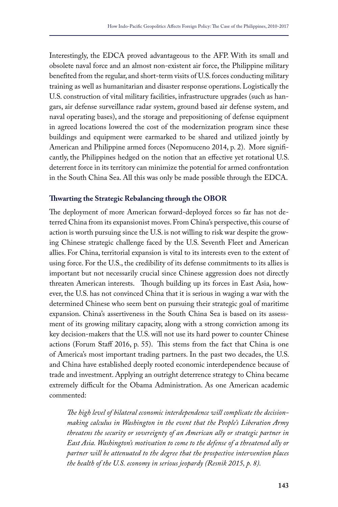Interestingly, the EDCA proved advantageous to the AFP. With its small and obsolete naval force and an almost non-existent air force, the Philippine military benefited from the regular, and short-term visits of U.S. forces conducting military training as well as humanitarian and disaster response operations. Logistically the U.S. construction of vital military facilities, infrastructure upgrades (such as hangars, air defense surveillance radar system, ground based air defense system, and naval operating bases), and the storage and prepositioning of defense equipment in agreed locations lowered the cost of the modernization program since these buildings and equipment were earmarked to be shared and utilized jointly by American and Philippine armed forces (Nepomuceno 2014, p. 2). More significantly, the Philippines hedged on the notion that an effective yet rotational U.S. deterrent force in its territory can minimize the potential for armed confrontation in the South China Sea. All this was only be made possible through the EDCA.

## **Thwarting the Strategic Rebalancing through the OBOR**

The deployment of more American forward-deployed forces so far has not deterred China from its expansionist moves. From China's perspective, this course of action is worth pursuing since the U.S. is not willing to risk war despite the growing Chinese strategic challenge faced by the U.S. Seventh Fleet and American allies. For China, territorial expansion is vital to its interests even to the extent of using force. For the U.S., the credibility of its defense commitments to its allies is important but not necessarily crucial since Chinese aggression does not directly threaten American interests. Though building up its forces in East Asia, however, the U.S. has not convinced China that it is serious in waging a war with the determined Chinese who seem bent on pursuing their strategic goal of maritime expansion. China's assertiveness in the South China Sea is based on its assessment of its growing military capacity, along with a strong conviction among its key decision-makers that the U.S. will not use its hard power to counter Chinese actions (Forum Staff 2016, p. 55). This stems from the fact that China is one of America's most important trading partners. In the past two decades, the U.S. and China have established deeply rooted economic interdependence because of trade and investment. Applying an outright deterrence strategy to China became extremely difficult for the Obama Administration. As one American academic commented:

*The high level of bilateral economic interdependence will complicate the decisionmaking calculus in Washington in the event that the People's Liberation Army threatens the security or sovereignty of an American ally or strategic partner in East Asia. Washington's motivation to come to the defense of a threatened ally or partner will be attenuated to the degree that the prospective intervention places the health of the U.S. economy in serious jeopardy (Resnik 2015, p. 8).*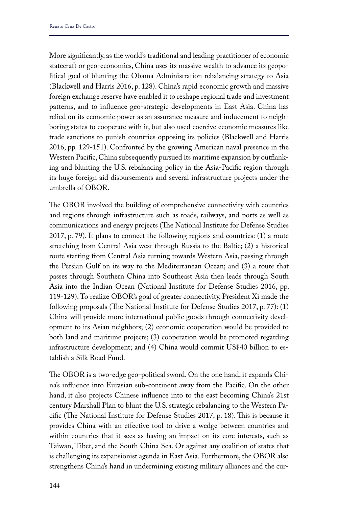More significantly, as the world's traditional and leading practitioner of economic statecraft or geo-economics, China uses its massive wealth to advance its geopolitical goal of blunting the Obama Administration rebalancing strategy to Asia (Blackwell and Harris 2016, p. 128). China's rapid economic growth and massive foreign exchange reserve have enabled it to reshape regional trade and investment patterns, and to influence geo-strategic developments in East Asia. China has relied on its economic power as an assurance measure and inducement to neighboring states to cooperate with it, but also used coercive economic measures like trade sanctions to punish countries opposing its policies (Blackwell and Harris 2016, pp. 129-151). Confronted by the growing American naval presence in the Western Pacific, China subsequently pursued its maritime expansion by outflanking and blunting the U.S. rebalancing policy in the Asia-Pacific region through its huge foreign aid disbursements and several infrastructure projects under the umbrella of OBOR.

The OBOR involved the building of comprehensive connectivity with countries and regions through infrastructure such as roads, railways, and ports as well as communications and energy projects (The National Institute for Defense Studies 2017, p. 79). It plans to connect the following regions and countries: (1) a route stretching from Central Asia west through Russia to the Baltic; (2) a historical route starting from Central Asia turning towards Western Asia, passing through the Persian Gulf on its way to the Mediterranean Ocean; and (3) a route that passes through Southern China into Southeast Asia then leads through South Asia into the Indian Ocean (National Institute for Defense Studies 2016, pp. 119-129). To realize OBOR's goal of greater connectivity, President Xi made the following proposals (The National Institute for Defense Studies 2017, p. 77): (1) China will provide more international public goods through connectivity development to its Asian neighbors; (2) economic cooperation would be provided to both land and maritime projects; (3) cooperation would be promoted regarding infrastructure development; and (4) China would commit US\$40 billion to establish a Silk Road Fund.

The OBOR is a two-edge geo-political sword. On the one hand, it expands China's influence into Eurasian sub-continent away from the Pacific. On the other hand, it also projects Chinese influence into to the east becoming China's 21st century Marshall Plan to blunt the U.S. strategic rebalancing to the Western Pacific (The National Institute for Defense Studies 2017, p. 18). This is because it provides China with an effective tool to drive a wedge between countries and within countries that it sees as having an impact on its core interests, such as Taiwan, Tibet, and the South China Sea. Or against any coalition of states that is challenging its expansionist agenda in East Asia. Furthermore, the OBOR also strengthens China's hand in undermining existing military alliances and the cur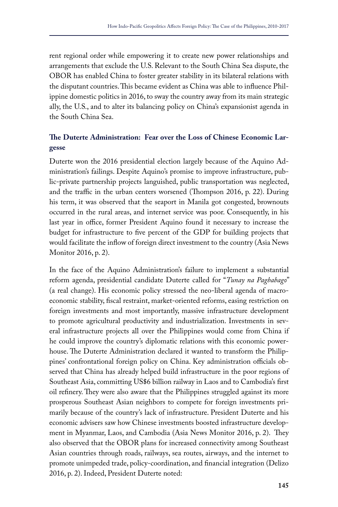rent regional order while empowering it to create new power relationships and arrangements that exclude the U.S. Relevant to the South China Sea dispute, the OBOR has enabled China to foster greater stability in its bilateral relations with the disputant countries. This became evident as China was able to influence Philippine domestic politics in 2016, to sway the country away from its main strategic ally, the U.S., and to alter its balancing policy on China's expansionist agenda in the South China Sea.

# **The Duterte Administration: Fear over the Loss of Chinese Economic Largesse**

Duterte won the 2016 presidential election largely because of the Aquino Administration's failings. Despite Aquino's promise to improve infrastructure, public-private partnership projects languished, public transportation was neglected, and the traffic in the urban centers worsened (Thompson 2016, p. 22). During his term, it was observed that the seaport in Manila got congested, brownouts occurred in the rural areas, and internet service was poor. Consequently, in his last year in office, former President Aquino found it necessary to increase the budget for infrastructure to five percent of the GDP for building projects that would facilitate the inflow of foreign direct investment to the country (Asia News Monitor 2016, p. 2).

In the face of the Aquino Administration's failure to implement a substantial reform agenda, presidential candidate Duterte called for "*Tunay na Pagbabago*" (a real change). His economic policy stressed the neo-liberal agenda of macroeconomic stability, fiscal restraint, market-oriented reforms, easing restriction on foreign investments and most importantly, massive infrastructure development to promote agricultural productivity and industrialization. Investments in several infrastructure projects all over the Philippines would come from China if he could improve the country's diplomatic relations with this economic powerhouse. The Duterte Administration declared it wanted to transform the Philippines' confrontational foreign policy on China. Key administration officials observed that China has already helped build infrastructure in the poor regions of Southeast Asia, committing US\$6 billion railway in Laos and to Cambodia's first oil refinery. They were also aware that the Philippines struggled against its more prosperous Southeast Asian neighbors to compete for foreign investments primarily because of the country's lack of infrastructure. President Duterte and his economic advisers saw how Chinese investments boosted infrastructure development in Myanmar, Laos, and Cambodia (Asia News Monitor 2016, p. 2). They also observed that the OBOR plans for increased connectivity among Southeast Asian countries through roads, railways, sea routes, airways, and the internet to promote unimpeded trade, policy-coordination, and financial integration (Delizo 2016, p. 2). Indeed, President Duterte noted: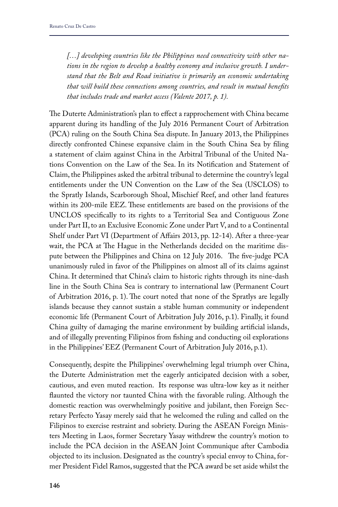*[…] developing countries like the Philippines need connectivity with other nations in the region to develop a healthy economy and inclusive growth. I understand that the Belt and Road initiative is primarily an economic undertaking that will build these connections among countries, and result in mutual benefits that includes trade and market access (Valente 2017, p. 1).*

The Duterte Administration's plan to effect a rapprochement with China became apparent during its handling of the July 2016 Permanent Court of Arbitration (PCA) ruling on the South China Sea dispute. In January 2013, the Philippines directly confronted Chinese expansive claim in the South China Sea by filing a statement of claim against China in the Arbitral Tribunal of the United Nations Convention on the Law of the Sea. In its Notification and Statement of Claim, the Philippines asked the arbitral tribunal to determine the country's legal entitlements under the UN Convention on the Law of the Sea (USCLOS) to the Spratly Islands, Scarborough Shoal, Mischief Reef, and other land features within its 200-mile EEZ. These entitlements are based on the provisions of the UNCLOS specifically to its rights to a Territorial Sea and Contiguous Zone under Part II, to an Exclusive Economic Zone under Part V, and to a Continental Shelf under Part VI (Department of Affairs 2013, pp. 12-14). After a three-year wait, the PCA at The Hague in the Netherlands decided on the maritime dispute between the Philippines and China on 12 July 2016. The five-judge PCA unanimously ruled in favor of the Philippines on almost all of its claims against China. It determined that China's claim to historic rights through its nine-dash line in the South China Sea is contrary to international law (Permanent Court of Arbitration 2016, p. 1). The court noted that none of the Spratlys are legally islands because they cannot sustain a stable human community or independent economic life (Permanent Court of Arbitration July 2016, p.1). Finally, it found China guilty of damaging the marine environment by building artificial islands, and of illegally preventing Filipinos from fishing and conducting oil explorations in the Philippines' EEZ (Permanent Court of Arbitration July 2016, p.1).

Consequently, despite the Philippines' overwhelming legal triumph over China, the Duterte Administration met the eagerly anticipated decision with a sober, cautious, and even muted reaction. Its response was ultra-low key as it neither flaunted the victory nor taunted China with the favorable ruling. Although the domestic reaction was overwhelmingly positive and jubilant, then Foreign Secretary Perfecto Yasay merely said that he welcomed the ruling and called on the Filipinos to exercise restraint and sobriety. During the ASEAN Foreign Ministers Meeting in Laos, former Secretary Yasay withdrew the country's motion to include the PCA decision in the ASEAN Joint Communique after Cambodia objected to its inclusion. Designated as the country's special envoy to China, former President Fidel Ramos, suggested that the PCA award be set aside whilst the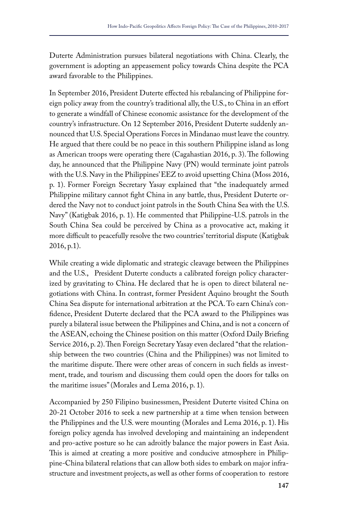Duterte Administration pursues bilateral negotiations with China. Clearly, the government is adopting an appeasement policy towards China despite the PCA award favorable to the Philippines.

In September 2016, President Duterte effected his rebalancing of Philippine foreign policy away from the country's traditional ally, the U.S., to China in an effort to generate a windfall of Chinese economic assistance for the development of the country's infrastructure. On 12 September 2016, President Duterte suddenly announced that U.S. Special Operations Forces in Mindanao must leave the country. He argued that there could be no peace in this southern Philippine island as long as American troops were operating there (Cagahastian 2016, p. 3). The following day, he announced that the Philippine Navy (PN) would terminate joint patrols with the U.S. Navy in the Philippines' EEZ to avoid upsetting China (Moss 2016, p. 1). Former Foreign Secretary Yasay explained that "the inadequately armed Philippine military cannot fight China in any battle, thus, President Duterte ordered the Navy not to conduct joint patrols in the South China Sea with the U.S. Navy" (Katigbak 2016, p. 1). He commented that Philippine-U.S. patrols in the South China Sea could be perceived by China as a provocative act, making it more difficult to peacefully resolve the two countries' territorial dispute (Katigbak 2016, p.1).

While creating a wide diplomatic and strategic cleavage between the Philippines and the U.S., President Duterte conducts a calibrated foreign policy characterized by gravitating to China. He declared that he is open to direct bilateral negotiations with China. In contrast, former President Aquino brought the South China Sea dispute for international arbitration at the PCA. To earn China's confidence, President Duterte declared that the PCA award to the Philippines was purely a bilateral issue between the Philippines and China, and is not a concern of the ASEAN, echoing the Chinese position on this matter (Oxford Daily Briefing Service 2016, p. 2). Then Foreign Secretary Yasay even declared "that the relationship between the two countries (China and the Philippines) was not limited to the maritime dispute. There were other areas of concern in such fields as investment, trade, and tourism and discussing them could open the doors for talks on the maritime issues" (Morales and Lema 2016, p. 1).

Accompanied by 250 Filipino businessmen, President Duterte visited China on 20-21 October 2016 to seek a new partnership at a time when tension between the Philippines and the U.S. were mounting (Morales and Lema 2016, p. 1). His foreign policy agenda has involved developing and maintaining an independent and pro-active posture so he can adroitly balance the major powers in East Asia. This is aimed at creating a more positive and conducive atmosphere in Philippine-China bilateral relations that can allow both sides to embark on major infrastructure and investment projects, as well as other forms of cooperation to restore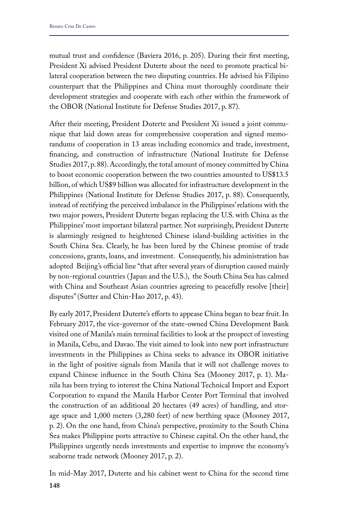mutual trust and confidence (Baviera 2016, p. 205). During their first meeting, President Xi advised President Duterte about the need to promote practical bilateral cooperation between the two disputing countries. He advised his Filipino counterpart that the Philippines and China must thoroughly coordinate their development strategies and cooperate with each other within the framework of the OBOR (National Institute for Defense Studies 2017, p. 87).

After their meeting, President Duterte and President Xi issued a joint communique that laid down areas for comprehensive cooperation and signed memorandums of cooperation in 13 areas including economics and trade, investment, financing, and construction of infrastructure (National Institute for Defense Studies 2017, p. 88). Accordingly, the total amount of money committed by China to boost economic cooperation between the two countries amounted to US\$13.5 billion, of which US\$9 billion was allocated for infrastructure development in the Philippines (National Institute for Defense Studies 2017, p. 88). Consequently, instead of rectifying the perceived imbalance in the Philippines' relations with the two major powers, President Duterte began replacing the U.S. with China as the Philippines' most important bilateral partner. Not surprisingly, President Duterte is alarmingly resigned to heightened Chinese island-building activities in the South China Sea. Clearly, he has been lured by the Chinese promise of trade concessions, grants, loans, and investment. Consequently, his administration has adopted Beijing's official line "that after several years of disruption caused mainly by non-regional countries ( Japan and the U.S.), the South China Sea has calmed with China and Southeast Asian countries agreeing to peacefully resolve [their] disputes" (Sutter and Chin-Hao 2017, p. 43).

By early 2017, President Duterte's efforts to appease China began to bear fruit. In February 2017, the vice-governor of the state-owned China Development Bank visited one of Manila's main terminal facilities to look at the prospect of investing in Manila, Cebu, and Davao. The visit aimed to look into new port infrastructure investments in the Philippines as China seeks to advance its OBOR initiative in the light of positive signals from Manila that it will not challenge moves to expand Chinese influence in the South China Sea (Mooney 2017, p. 1). Manila has been trying to interest the China National Technical Import and Export Corporation to expand the Manila Harbor Center Port Terminal that involved the construction of an additional 20 hectares (49 acres) of handling, and storage space and 1,000 meters (3,280 feet) of new berthing space (Mooney 2017, p. 2). On the one hand, from China's perspective, proximity to the South China Sea makes Philippine ports attractive to Chinese capital. On the other hand, the Philippines urgently needs investments and expertise to improve the economy's seaborne trade network (Mooney 2017, p. 2).

**148** In mid-May 2017, Duterte and his cabinet went to China for the second time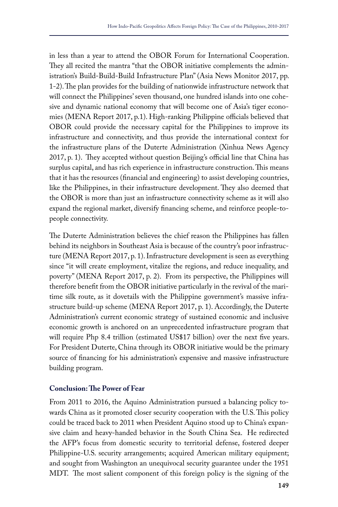in less than a year to attend the OBOR Forum for International Cooperation. They all recited the mantra "that the OBOR initiative complements the administration's Build-Build-Build Infrastructure Plan" (Asia News Monitor 2017, pp. 1-2). The plan provides for the building of nationwide infrastructure network that will connect the Philippines' seven thousand, one hundred islands into one cohesive and dynamic national economy that will become one of Asia's tiger economies (MENA Report 2017, p.1). High-ranking Philippine officials believed that OBOR could provide the necessary capital for the Philippines to improve its infrastructure and connectivity, and thus provide the international context for the infrastructure plans of the Duterte Administration (Xinhua News Agency 2017, p. 1). They accepted without question Beijing's official line that China has surplus capital, and has rich experience in infrastructure construction. This means that it has the resources (financial and engineering) to assist developing countries, like the Philippines, in their infrastructure development. They also deemed that the OBOR is more than just an infrastructure connectivity scheme as it will also expand the regional market, diversify financing scheme, and reinforce people-topeople connectivity.

The Duterte Administration believes the chief reason the Philippines has fallen behind its neighbors in Southeast Asia is because of the country's poor infrastructure (MENA Report 2017, p. 1). Infrastructure development is seen as everything since "it will create employment, vitalize the regions, and reduce inequality, and poverty" (MENA Report 2017, p. 2). From its perspective, the Philippines will therefore benefit from the OBOR initiative particularly in the revival of the maritime silk route, as it dovetails with the Philippine government's massive infrastructure build-up scheme (MENA Report 2017, p. 1). Accordingly, the Duterte Administration's current economic strategy of sustained economic and inclusive economic growth is anchored on an unprecedented infrastructure program that will require Php 8.4 trillion (estimated US\$17 billion) over the next five years. For President Duterte, China through its OBOR initiative would be the primary source of financing for his administration's expensive and massive infrastructure building program.

# **Conclusion: The Power of Fear**

From 2011 to 2016, the Aquino Administration pursued a balancing policy towards China as it promoted closer security cooperation with the U.S. This policy could be traced back to 2011 when President Aquino stood up to China's expansive claim and heavy-handed behavior in the South China Sea. He redirected the AFP's focus from domestic security to territorial defense, fostered deeper Philippine-U.S. security arrangements; acquired American military equipment; and sought from Washington an unequivocal security guarantee under the 1951 MDT. The most salient component of this foreign policy is the signing of the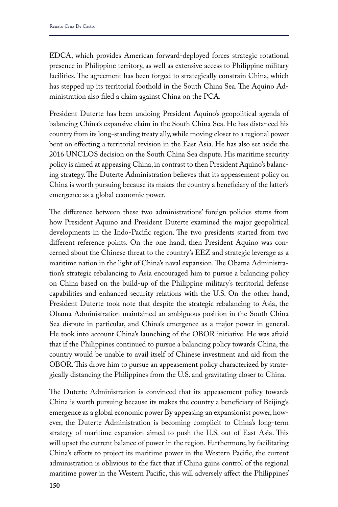EDCA, which provides American forward-deployed forces strategic rotational presence in Philippine territory, as well as extensive access to Philippine military facilities. The agreement has been forged to strategically constrain China, which has stepped up its territorial foothold in the South China Sea. The Aquino Administration also filed a claim against China on the PCA.

President Duterte has been undoing President Aquino's geopolitical agenda of balancing China's expansive claim in the South China Sea. He has distanced his country from its long-standing treaty ally, while moving closer to a regional power bent on effecting a territorial revision in the East Asia. He has also set aside the 2016 UNCLOS decision on the South China Sea dispute. His maritime security policy is aimed at appeasing China, in contrast to then President Aquino's balancing strategy. The Duterte Administration believes that its appeasement policy on China is worth pursuing because its makes the country a beneficiary of the latter's emergence as a global economic power.

The difference between these two administrations' foreign policies stems from how President Aquino and President Duterte examined the major geopolitical developments in the Indo-Pacific region. The two presidents started from two different reference points. On the one hand, then President Aquino was concerned about the Chinese threat to the country's EEZ and strategic leverage as a maritime nation in the light of China's naval expansion. The Obama Administration's strategic rebalancing to Asia encouraged him to pursue a balancing policy on China based on the build-up of the Philippine military's territorial defense capabilities and enhanced security relations with the U.S. On the other hand, President Duterte took note that despite the strategic rebalancing to Asia, the Obama Administration maintained an ambiguous position in the South China Sea dispute in particular, and China's emergence as a major power in general. He took into account China's launching of the OBOR initiative. He was afraid that if the Philippines continued to pursue a balancing policy towards China, the country would be unable to avail itself of Chinese investment and aid from the OBOR. This drove him to pursue an appeasement policy characterized by strategically distancing the Philippines from the U.S. and gravitating closer to China.

The Duterte Administration is convinced that its appeasement policy towards China is worth pursuing because its makes the country a beneficiary of Beijing's emergence as a global economic power By appeasing an expansionist power, however, the Duterte Administration is becoming complicit to China's long-term strategy of maritime expansion aimed to push the U.S. out of East Asia. This will upset the current balance of power in the region. Furthermore, by facilitating China's efforts to project its maritime power in the Western Pacific, the current administration is oblivious to the fact that if China gains control of the regional maritime power in the Western Pacific, this will adversely affect the Philippines'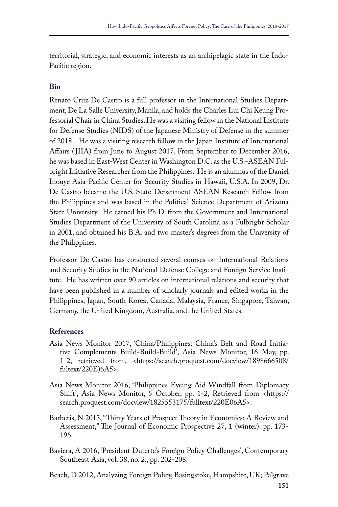territorial, strategic, and economic interests as an archipelagic state in the Indo-Pacific region.

# **Bio**

Renato Cruz De Castro is a full professor in the International Studies Department, De La Salle University, Manila, and holds the Charles Lui Chi Keung Professorial Chair in China Studies. He was a visiting fellow in the National Institute for Defense Studies (NIDS) of the Japanese Ministry of Defense in the summer of 2018. He was a visiting research fellow in the Japan Institute of International Affairs (JIIA) from June to August 2017. From September to December 2016, he was based in East-West Center in Washington D.C. as the U.S.-ASEAN Fulbright Initiative Researcher from the Philippines. He is an alumnus of the Daniel Inouye Asia-Pacific Center for Security Studies in Hawaii, U.S.A. In 2009, Dr. De Castro became the U.S. State Department ASEAN Research Fellow from the Philippines and was based in the Political Science Department of Arizona State University. He earned his Ph.D. from the Government and International Studies Department of the University of South Carolina as a Fulbright Scholar in 2001, and obtained his B.A. and two master's degrees from the University of the Philippines.

Professor De Castro has conducted several courses on International Relations and Security Studies in the National Defense College and Foreign Service Institute. He has written over 90 articles on international relations and security that have been published in a number of scholarly journals and edited works in the Philippines, Japan, South Korea, Canada, Malaysia, France, Singapore, Taiwan, Germany, the United Kingdom, Australia, and the United States.

# **References**

- Asia News Monitor 2017, 'China/Philippines: China's Belt and Road Initiative Complements Build-Build-Build', Asia News Monitor, 16 May, pp. 1-2, retrieved from, <https://search.proquest.com/docview/1898666508/ fultext/220E)6A5>.
- Asia News Monitor 2016, 'Philippines Eyeing Aid Windfall from Diplomacy Shift', Asia News Monitor, 5 October, pp. 1-2, Retrieved from <https:// search.proquest.com/docview/1825553175/fulltext/220E06A5>.
- Barberis, N 2013, "Thirty Years of Prospect Theory in Economics: A Review and Assessment," The Journal of Economic Prospective 27, 1 (winter). pp. 173- 196.
- Baviera, A 2016, 'President Duterte's Foreign Policy Challenges', Contemporary Southeast Asia, vol. 38, no. 2., pp. 202-208.

Beach, D 2012, Analyzing Foreign Policy, Basingstoke, Hampshire, UK; Palgrave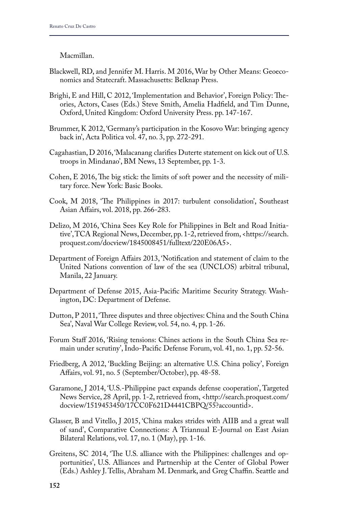### Macmillan.

- Blackwell, RD, and Jennifer M. Harris. M 2016, War by Other Means: Geoeconomics and Statecraft. Massachusetts: Belknap Press.
- Brighi, E and Hill, C 2012, 'Implementation and Behavior', Foreign Policy: Theories, Actors, Cases (Eds.) Steve Smith, Amelia Hadfield, and Tim Dunne, Oxford, United Kingdom: Oxford University Press. pp. 147-167.
- Brummer, K 2012, 'Germany's participation in the Kosovo War: bringing agency back in', Acta Politica vol. 47, no. 3, pp. 272-291.
- Cagahastian, D 2016, 'Malacanang clarifies Duterte statement on kick out of U.S. troops in Mindanao', BM News, 13 September, pp. 1-3.
- Cohen, E 2016, The big stick: the limits of soft power and the necessity of military force. New York: Basic Books.
- Cook, M 2018, 'The Philippines in 2017: turbulent consolidation', Southeast Asian Affairs, vol. 2018, pp. 266-283.
- Delizo, M 2016, 'China Sees Key Role for Philippines in Belt and Road Initiative', TCA Regional News, December, pp. 1-2, retrieved from, <https://search. proquest.com/docview/1845008451/fulltext/220E06A5>.
- Department of Foreign Affairs 2013, 'Notification and statement of claim to the United Nations convention of law of the sea (UNCLOS) arbitral tribunal, Manila, 22 January.
- Department of Defense 2015, Asia-Pacific Maritime Security Strategy. Washington, DC: Department of Defense.
- Dutton, P 2011, 'Three disputes and three objectives: China and the South China Sea', Naval War College Review, vol. 54, no. 4, pp. 1-26.
- Forum Staff 2016, 'Rising tensions: Chines actions in the South China Sea remain under scrutiny', Indo-Pacific Defense Forum, vol. 41, no. 1, pp. 52-56.
- Friedberg, A 2012, 'Buckling Beijing: an alternative U.S. China policy', Foreign Affairs, vol. 91, no. 5 (September/October), pp. 48-58.
- Garamone, J 2014, 'U.S.-Philippine pact expands defense cooperation', Targeted News Service, 28 April, pp. 1-2, retrieved from, <http://search.proquest.com/ docview/1519453450/17CC0F621D4441CBPQ/55?accountid>.
- Glasser, B and Vitello, J 2015, 'China makes strides with AIIB and a great wall of sand', Comparative Connections: A Triannual E-Journal on East Asian Bilateral Relations, vol. 17, no. 1 (May), pp. 1-16.
- Greitens, SC 2014, 'The U.S. alliance with the Philippines: challenges and opportunities', U.S. Alliances and Partnership at the Center of Global Power (Eds.) Ashley J. Tellis, Abraham M. Denmark, and Greg Chaffin. Seattle and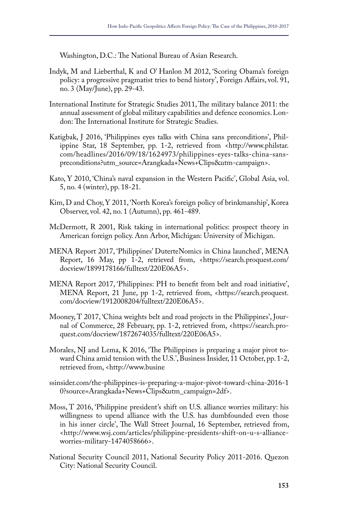Washington, D.C.: The National Bureau of Asian Research.

- Indyk, M and Lieberthal, K and O' Hanlon M 2012, 'Scoring Obama's foreign policy: a progressive pragmatist tries to bend history', Foreign Affairs, vol. 91, no. 3 (May/June), pp. 29-43.
- International Institute for Strategic Studies 2011, The military balance 2011: the annual assessment of global military capabilities and defence economics. London: The International Institute for Strategic Studies.
- Katigbak, J 2016, 'Philippines eyes talks with China sans preconditions', Philippine Star, 18 September, pp. 1-2, retrieved from <http://www.philstar. com/headlines/2016/09/18/1624973/philippines-eyes-talks-china-sanspreconditions?utm\_source=Arangkada+News+Clips&utm-campaign>.
- Kato, Y 2010, 'China's naval expansion in the Western Pacific', Global Asia, vol. 5, no. 4 (winter), pp. 18-21.
- Kim, D and Choy, Y 2011, 'North Korea's foreign policy of brinkmanship', Korea Observer, vol. 42, no. 1 (Autumn), pp. 461-489.
- McDermott, R 2001, Risk taking in international politics: prospect theory in American foreign policy. Ann Arbor, Michigan: University of Michigan.
- MENA Report 2017, 'Philippines' DuterteNomics in China launched', MENA Report, 16 May, pp 1-2, retrieved from, <https://search.proquest.com/ docview/1899178166/fulltext/220E06A5>.
- MENA Report 2017, 'Philippines: PH to benefit from belt and road initiative', MENA Report, 21 June, pp 1-2, retrieved from, <https://search.proquest. com/docview/1912008204/fulltext/220E06A5>.
- Mooney, T 2017, 'China weights belt and road projects in the Philippines', Journal of Commerce, 28 February, pp. 1-2, retrieved from, <https://search.proquest.com/docview/1872674035/fulltext/220E06A5>.
- Morales, NJ and Lema, K 2016, 'The Philippines is preparing a major pivot toward China amid tension with the U.S.', Business Insider, 11 October, pp. 1-2, retrieved from, <http://www.busine
- ssinsider.com/the-philippines-is-preparing-a-major-pivot-toward-china-2016-1 0?source=Arangkada+News+Clips&utm\_campaign=2df>.
- Moss, T 2016, 'Philippine president's shift on U.S. alliance worries military: his willingness to upend alliance with the U.S. has dumbfounded even those in his inner circle', The Wall Street Journal, 16 September, retrieved from, <http://www.wsj.com/articles/philippine-presidents-shift-on-u-s-allianceworries-military-1474058666>.
- National Security Council 2011, National Security Policy 2011-2016. Quezon City: National Security Council.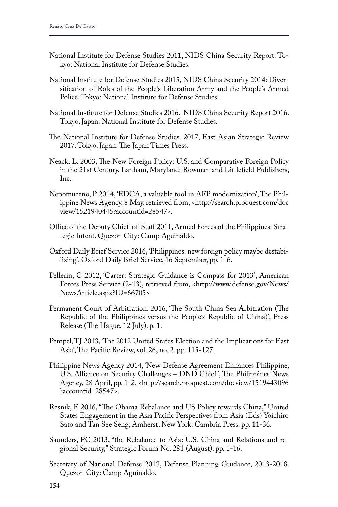- National Institute for Defense Studies 2011, NIDS China Security Report. Tokyo: National Institute for Defense Studies.
- National Institute for Defense Studies 2015, NIDS China Security 2014: Diversification of Roles of the People's Liberation Army and the People's Armed Police. Tokyo: National Institute for Defense Studies.
- National Institute for Defense Studies 2016. NIDS China Security Report 2016. Tokyo, Japan: National Institute for Defense Studies.
- The National Institute for Defense Studies. 2017, East Asian Strategic Review 2017. Tokyo, Japan: The Japan Times Press.
- Neack, L. 2003, The New Foreign Policy: U.S. and Comparative Foreign Policy in the 21st Century. Lanham, Maryland: Rowman and Littlefield Publishers, Inc.
- Nepomuceno, P 2014, 'EDCA, a valuable tool in AFP modernization', The Philippine News Agency, 8 May, retrieved from, <http://search.proquest.com/doc view/1521940445?accountid=28547>.
- Office of the Deputy Chief-of-Staff 2011, Armed Forces of the Philippines: Strategic Intent. Quezon City: Camp Aguinaldo.
- Oxford Daily Brief Service 2016, 'Philippines: new foreign policy maybe destabilizing', Oxford Daily Brief Service, 16 September, pp. 1-6.
- Pellerin, C 2012, 'Carter: Strategic Guidance is Compass for 2013', American Forces Press Service (2-13), retrieved from, <http://www.defense.gov/News/ NewsArticle.aspx?ID=66705>
- Permanent Court of Arbitration. 2016, 'The South China Sea Arbitration (The Republic of the Philippines versus the People's Republic of China)', Press Release (The Hague, 12 July). p. 1.
- Pempel, TJ 2013, 'The 2012 United States Election and the Implications for East Asia', The Pacific Review, vol. 26, no. 2. pp. 115-127.
- Philippine News Agency 2014, 'New Defense Agreement Enhances Philippine, U.S. Alliance on Security Challenges – DND Chief ', The Philippines News Agency, 28 April, pp. 1-2. <http://search.proquest.com/docview/1519443096 ?accountid=28547>.
- Resnik, E 2016, "The Obama Rebalance and US Policy towards China," United States Engagement in the Asia Pacific Perspectives from Asia (Eds) Yoichiro Sato and Tan See Seng, Amherst, New York: Cambria Press. pp. 11-36.
- Saunders, PC 2013, "the Rebalance to Asia: U.S.-China and Relations and regional Security," Strategic Forum No. 281 (August). pp. 1-16.
- Secretary of National Defense 2013, Defense Planning Guidance, 2013-2018. Quezon City: Camp Aguinaldo.